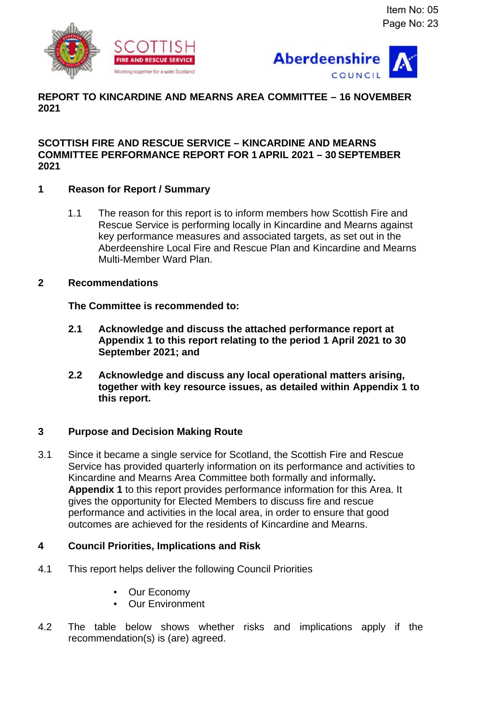



# **REPORT TO KINCARDINE AND MEARNS AREA COMMITTEE – 16 NOVEMBER 2021**

## **SCOTTISH FIRE AND RESCUE SERVICE – KINCARDINE AND MEARNS COMMITTEE PERFORMANCE REPORT FOR 1APRIL 2021 – 30 SEPTEMBER 2021**

# **1 Reason for Report / Summary**

1.1 The reason for this report is to inform members how Scottish Fire and Rescue Service is performing locally in Kincardine and Mearns against key performance measures and associated targets, as set out in the Aberdeenshire Local Fire and Rescue Plan and Kincardine and Mearns Multi-Member Ward Plan.

## **2 Recommendations**

**The Committee is recommended to:**

- **2.1 Acknowledge and discuss the attached performance report at Appendix 1 to this report relating to the period 1 April 2021 to 30 September 2021; and**
- **2.2 Acknowledge and discuss any local operational matters arising, together with key resource issues, as detailed within Appendix 1 to this report.**

## **3 Purpose and Decision Making Route**

3.1 Since it became a single service for Scotland, the Scottish Fire and Rescue Service has provided quarterly information on its performance and activities to Kincardine and Mearns Area Committee both formally and informally**. Appendix 1** to this report provides performance information for this Area. It gives the opportunity for Elected Members to discuss fire and rescue performance and activities in the local area, in order to ensure that good outcomes are achieved for the residents of Kincardine and Mearns.

## **4 Council Priorities, Implications and Risk**

- 4.1 This report helps deliver the following Council Priorities
	- Our Economy
	- Our Environment
- 4.2 The table below shows whether risks and implications apply if the recommendation(s) is (are) agreed.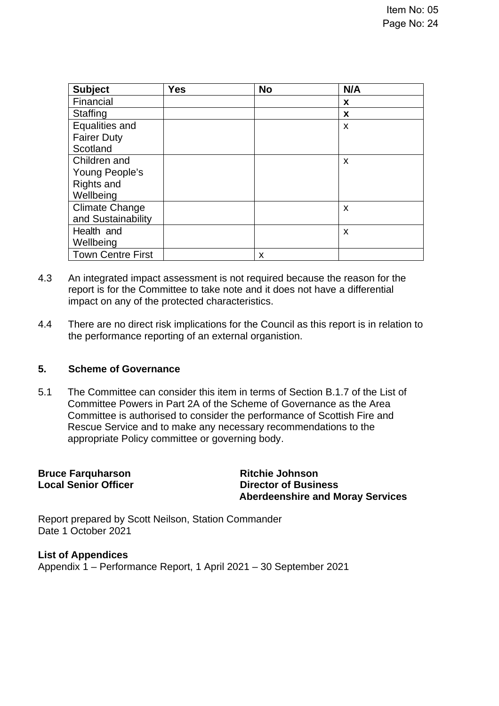| <b>Subject</b>           | <b>Yes</b> | <b>No</b> | N/A                       |
|--------------------------|------------|-----------|---------------------------|
| Financial                |            |           | X                         |
| <b>Staffing</b>          |            |           | X                         |
| Equalities and           |            |           | X                         |
| <b>Fairer Duty</b>       |            |           |                           |
| Scotland                 |            |           |                           |
| Children and             |            |           | $\boldsymbol{\mathsf{x}}$ |
| Young People's           |            |           |                           |
| Rights and               |            |           |                           |
| Wellbeing                |            |           |                           |
| <b>Climate Change</b>    |            |           | X                         |
| and Sustainability       |            |           |                           |
| Health and               |            |           | X                         |
| Wellbeing                |            |           |                           |
| <b>Town Centre First</b> |            | x         |                           |

- 4.3 An integrated impact assessment is not required because the reason for the report is for the Committee to take note and it does not have a differential impact on any of the protected characteristics.
- 4.4 There are no direct risk implications for the Council as this report is in relation to the performance reporting of an external organistion.

## **5. Scheme of Governance**

5.1 The Committee can consider this item in terms of Section B.1.7 of the List of Committee Powers in Part 2A of the Scheme of Governance as the Area Committee is authorised to consider the performance of Scottish Fire and Rescue Service and to make any necessary recommendations to the appropriate Policy committee or governing body.

| <b>Bruce Farquharson</b>    | <b>Ritchie Johnson</b>                  |
|-----------------------------|-----------------------------------------|
|                             |                                         |
| <b>Local Senior Officer</b> | <b>Director of Business</b>             |
|                             | <b>Aberdeenshire and Moray Services</b> |
|                             |                                         |

Report prepared by Scott Neilson, Station Commander Date 1 October 2021

**List of Appendices** Appendix 1 – Performance Report, 1 April 2021 – 30 September 2021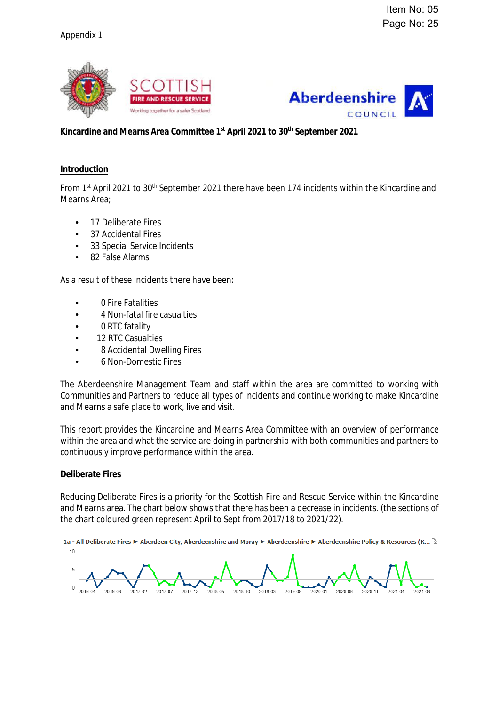



### **Kincardine and Mearns Area Committee 1st April 2021 to 30th September 2021**

#### **Introduction**

From 1<sup>st</sup> April 2021 to 30<sup>th</sup> September 2021 there have been 174 incidents within the Kincardine and Mearns Area;

- 17 Deliberate Fires
- 37 Accidental Fires
- 33 Special Service Incidents
- 82 False Alarms

As a result of these incidents there have been:

- 0 Fire Fatalities
- 4 Non-fatal fire casualties
- 0 RTC fatality
- 12 RTC Casualties
- 8 Accidental Dwelling Fires
- 6 Non-Domestic Fires

The Aberdeenshire Management Team and staff within the area are committed to working with Communities and Partners to reduce all types of incidents and continue working to make Kincardine and Mearns a safe place to work, live and visit.

This report provides the Kincardine and Mearns Area Committee with an overview of performance within the area and what the service are doing in partnership with both communities and partners to continuously improve performance within the area.

#### **Deliberate Fires**

Reducing Deliberate Fires is a priority for the Scottish Fire and Rescue Service within the Kincardine and Mearns area. The chart below shows that there has been a decrease in incidents. (the sections of the chart coloured green represent April to Sept from 2017/18 to 2021/22).

1a - All Deliberate Fires ▶ Aberdeen City, Aberdeenshire and Moray ▶ Aberdeenshire ▶ Aberdeenshire Policy & Resources (K...  $\mathbb{C}_x$  $10$ 

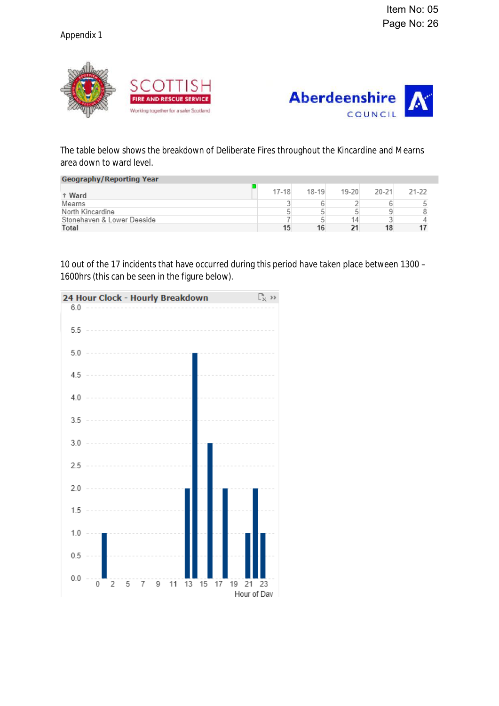



## The table below shows the breakdown of Deliberate Fires throughout the Kincardine and Mearns area down to ward level.

| <b>Geography/Reporting Year</b> |           |           |       |       |       |
|---------------------------------|-----------|-----------|-------|-------|-------|
| <sup>t</sup> Ward               | $17 - 18$ | $18 - 19$ | 19-20 | 20-21 | 21-22 |
| Mearns                          |           |           |       |       |       |
| North Kincardine                |           |           |       |       |       |
| Stonehaven & Lower Deeside      |           |           | 14.   |       |       |
| Total                           | 15        | 16        | 21    |       |       |

10 out of the 17 incidents that have occurred during this period have taken place between 1300 – 1600hrs (this can be seen in the figure below).

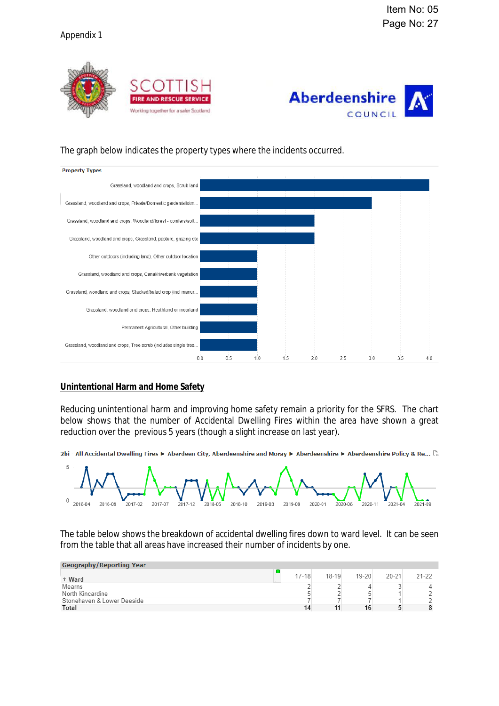



### The graph below indicates the property types where the incidents occurred.



### **Unintentional Harm and Home Safety**

Reducing unintentional harm and improving home safety remain a priority for the SFRS. The chart below shows that the number of Accidental Dwelling Fires within the area have shown a great reduction over the previous 5 years (though a slight increase on last year).

2bi - All Accidental Dwelling Fires ▶ Aberdeen City, Aberdeenshire and Moray ▶ Aberdeenshire ▶ Aberdeenshire Policy & Re... [k



The table below shows the breakdown of accidental dwelling fires down to ward level. It can be seen from the table that all areas have increased their number of incidents by one.

| <b>Geography/Reporting Year</b> |           |           |           |           |           |
|---------------------------------|-----------|-----------|-----------|-----------|-----------|
| <sup>t</sup> Ward               | $17 - 18$ | $18 - 19$ | $19 - 20$ | $20 - 21$ | $21 - 22$ |
| Mearns                          |           |           |           |           |           |
| North Kincardine                |           |           |           |           |           |
| Stonehaven & Lower Deeside      |           |           |           |           |           |
| Total                           | 14        |           | 16        |           |           |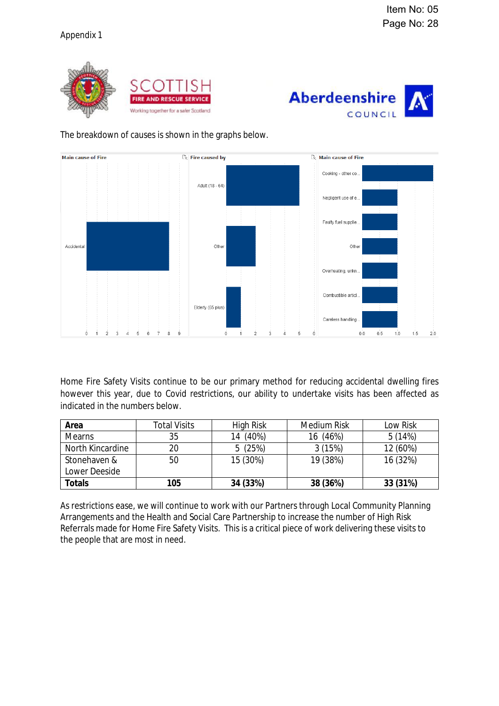



## The breakdown of causes is shown in the graphs below.



Home Fire Safety Visits continue to be our primary method for reducing accidental dwelling fires however this year, due to Covid restrictions, our ability to undertake visits has been affected as indicated in the numbers below.

| Area                    | <b>Total Visits</b> | <b>High Risk</b> | <b>Medium Risk</b> | <b>Low Risk</b> |
|-------------------------|---------------------|------------------|--------------------|-----------------|
| <b>Mearns</b>           | 35                  | $(40\%)$<br>14   | (46%)<br>16        | 5(14%)          |
| <b>North Kincardine</b> | 20                  | 5(25%)           | 3(15%)             | 12 (60%)        |
| Stonehaven &            | 50                  | 15 (30%)         | 19 (38%)           | 16 (32%)        |
| <b>Lower Deeside</b>    |                     |                  |                    |                 |
| <b>Totals</b>           | 105                 | 34 (33%)         | 38 (36%)           | 33 (31%)        |

As restrictions ease, we will continue to work with our Partners through Local Community Planning Arrangements and the Health and Social Care Partnership to increase the number of High Risk Referrals made for Home Fire Safety Visits. This is a critical piece of work delivering these visits to the people that are most in need.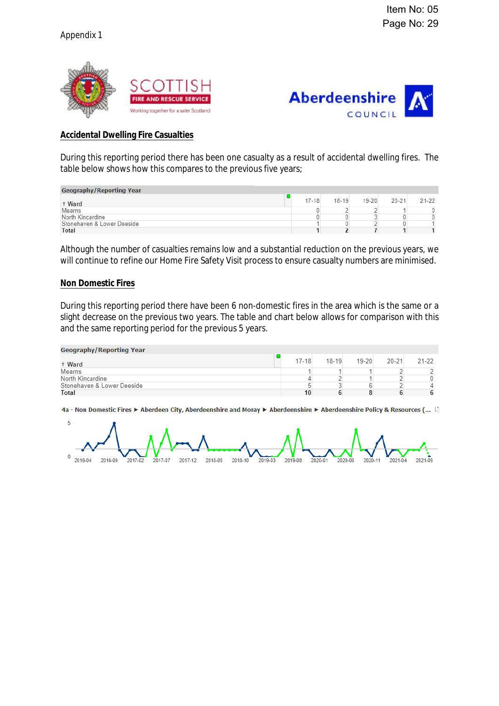



#### **Accidental Dwelling Fire Casualties**

During this reporting period there has been one casualty as a result of accidental dwelling fires. The table below shows how this compares to the previous five years;

| <b>Geography/Reporting Year</b> |           |           |           |           |       |
|---------------------------------|-----------|-----------|-----------|-----------|-------|
| <sup>t</sup> Ward               | $17 - 18$ | $18 - 19$ | $19 - 20$ | $20 - 21$ | 21-22 |
| Mearns                          |           |           |           |           |       |
| North Kincardine                |           |           |           |           |       |
| Stonehaven & Lower Deeside      |           |           |           |           |       |
| Total                           |           |           |           |           |       |

Although the number of casualties remains low and a substantial reduction on the previous years, we will continue to refine our Home Fire Safety Visit process to ensure casualty numbers are minimised.

#### **Non Domestic Fires**

During this reporting period there have been 6 non-domestic fires in the area which is the same or a slight decrease on the previous two years. The table and chart below allows for comparison with this and the same reporting period for the previous 5 years.

| <b>Geography/Reporting Year</b> |           |           |           |           |       |
|---------------------------------|-----------|-----------|-----------|-----------|-------|
| <sup>1</sup> Ward               | $17 - 18$ | $18 - 19$ | $19 - 20$ | $20 - 21$ | 21-22 |
| Mearns                          |           |           |           |           |       |
| North Kincardine                |           |           |           |           |       |
| Stonehaven & Lower Deeside      |           |           |           |           |       |
| Total                           |           |           |           |           |       |

4a - Non Domestic Fires ▶ Aberdeen City, Aberdeenshire and Moray ▶ Aberdeenshire ▶ Aberdeenshire Policy & Resources (... [3]

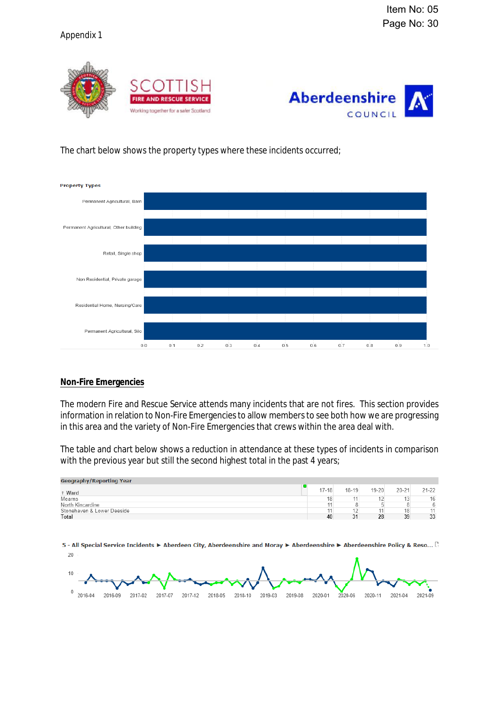## Appendix 1





### The chart below shows the property types where these incidents occurred;



#### **Non-Fire Emergencies**

The modern Fire and Rescue Service attends many incidents that are not fires. This section provides information in relation to Non-Fire Emergencies to allow members to see both how we are progressing in this area and the variety of Non-Fire Emergencies that crews within the area deal with.

The table and chart below shows a reduction in attendance at these types of incidents in comparison with the previous year but still the second highest total in the past 4 years;

| $18 - 19$<br>$19 - 20$<br>$20 - 21$<br>$17 - 18$<br><sup>t</sup> Ward<br>Mearns<br>18<br>44<br>North Kincardine | <b>Geography/Reporting Year</b> |    |    |           |
|-----------------------------------------------------------------------------------------------------------------|---------------------------------|----|----|-----------|
|                                                                                                                 |                                 |    |    | $21 - 22$ |
|                                                                                                                 |                                 |    |    | 16        |
|                                                                                                                 |                                 |    |    | 6         |
|                                                                                                                 | Stonehaven & Lower Deeside      | 12 | 18 | 11        |
| 33<br>39<br>31<br>28<br>Total<br>40                                                                             |                                 |    |    |           |

5 - All Special Service Incidents ▶ Aberdeen City, Aberdeenshire and Moray ▶ Aberdeenshire ▶ Aberdeenshire Policy & Reso... ...  $20$ 

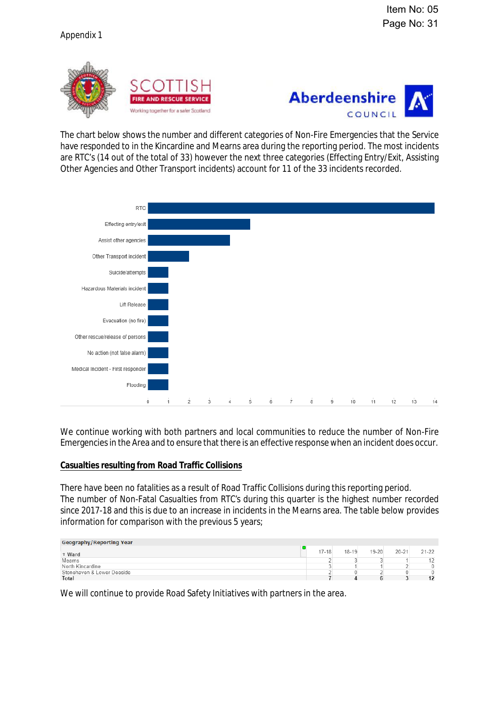



The chart below shows the number and different categories of Non-Fire Emergencies that the Service have responded to in the Kincardine and Mearns area during the reporting period. The most incidents are RTC's (14 out of the total of 33) however the next three categories (Effecting Entry/Exit, Assisting Other Agencies and Other Transport incidents) account for 11 of the 33 incidents recorded.



We continue working with both partners and local communities to reduce the number of Non-Fire Emergencies in the Area and to ensure that there is an effective response when an incident does occur.

#### **Casualties resulting from Road Traffic Collisions**

There have been no fatalities as a result of Road Traffic Collisions during this reporting period. The number of Non-Fatal Casualties from RTC's during this quarter is the highest number recorded since 2017-18 and this is due to an increase in incidents in the Mearns area. The table below provides information for comparison with the previous 5 years;

| <b>Geography/Reporting Year</b> |           |           |           |           |           |
|---------------------------------|-----------|-----------|-----------|-----------|-----------|
| <sup>t</sup> Ward               | $17 - 18$ | $18 - 19$ | $19 - 20$ | $20 - 21$ | $21 - 22$ |
| Mearns                          |           |           |           |           |           |
| North Kincardine                |           |           |           |           | 0         |
| Stonehaven & Lower Deeside      |           |           |           |           | 0         |
| Total                           |           |           |           |           | 12        |

We will continue to provide Road Safety Initiatives with partners in the area.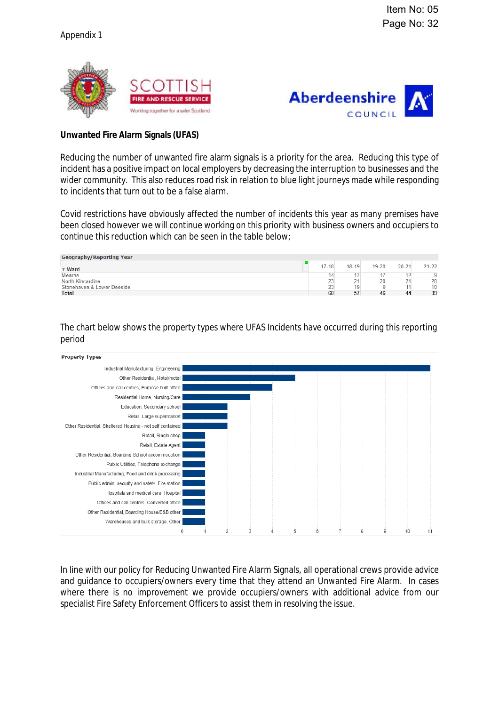



### **Unwanted Fire Alarm Signals (UFAS)**

Reducing the number of unwanted fire alarm signals is a priority for the area. Reducing this type of incident has a positive impact on local employers by decreasing the interruption to businesses and the wider community. This also reduces road risk in relation to blue light journeys made while responding to incidents that turn out to be a false alarm.

Covid restrictions have obviously affected the number of incidents this year as many premises have been closed however we will continue working on this priority with business owners and occupiers to continue this reduction which can be seen in the table below;

| <b>Geography/Reporting Year</b> |           |           |           |           |           |
|---------------------------------|-----------|-----------|-----------|-----------|-----------|
| t Ward                          | $17 - 18$ | $18 - 19$ | $19 - 20$ | $20 - 21$ | $21 - 22$ |
| Mearns                          | 14        |           |           |           | O         |
| North Kincardine                | 23        | 21        | 20        | - -<br>Ľ  | 20        |
| Stonehaven & Lower Deeside      | 23        | 19        |           |           | 10        |
| Total                           | 60        | 57        | 46        | 44        | 39        |
|                                 |           |           |           |           |           |

The chart below shows the property types where UFAS Incidents have occurred during this reporting period





In line with our policy for Reducing Unwanted Fire Alarm Signals, all operational crews provide advice and guidance to occupiers/owners every time that they attend an Unwanted Fire Alarm. In cases where there is no improvement we provide occupiers/owners with additional advice from our specialist Fire Safety Enforcement Officers to assist them in resolving the issue.